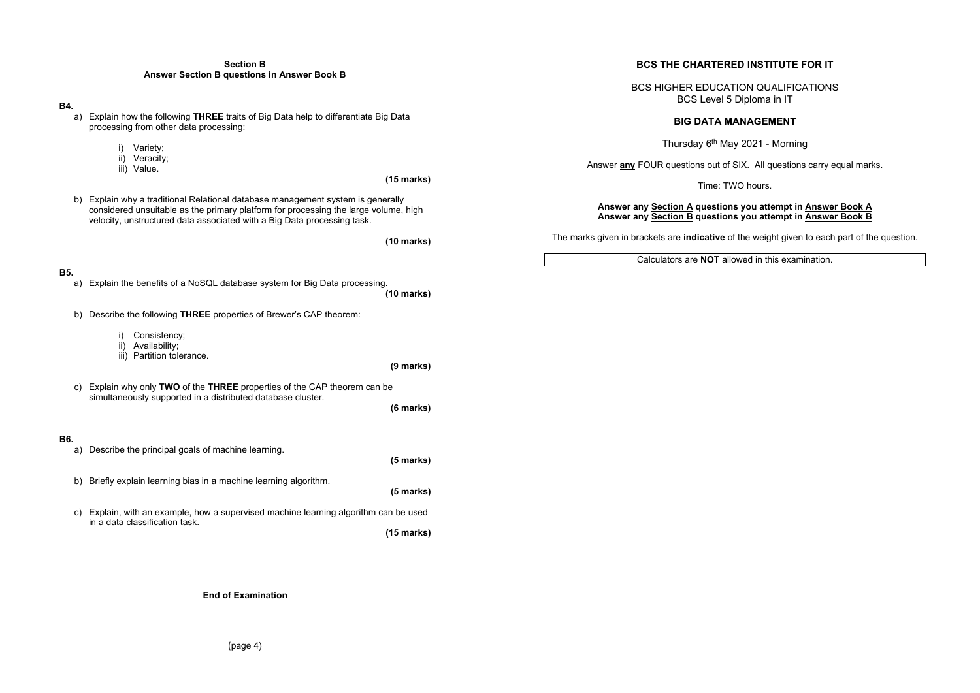### **Section B Answer Section B questions in Answer Book B**

### **B4.**

a) Explain how the following **THREE** traits of Big Data help to differentiate Big Data processing from other data processing:

- i) Variety;
- ii) Veracity;
- iii) Value.

**(15 marks)** 

b) Explain why a traditional Relational database management system is generally considered unsuitable as the primary platform for processing the large volume, high velocity, unstructured data associated with a Big Data processing task.

**(10 marks)** 

**B5.** 

**(10 marks)** 

- a) Explain the benefits of a NoSQL database system for Big Data processing.
- b) Describe the following **THREE** properties of Brewer's CAP theorem:
	- i) Consistency;
	- ii) Availability;
	- iii) Partition tolerance.
	- **(9 marks)**
- c) Explain why only **TWO** of the **THREE** properties of the CAP theorem can be simultaneously supported in a distributed database cluster.
- **B6.**

**(6 marks)** 

- a) Describe the principal goals of machine learning. **(5 marks)**  b) Briefly explain learning bias in a machine learning algorithm. **(5 marks)**
- c) Explain, with an example, how a supervised machine learning algorithm can be used in a data classification task.

**(15 marks)** 

### **End of Examination**

# **BCS THE CHARTERED INSTITUTE FOR IT**

BCS HIGHER EDUCATION QUALIFICATIONS BCS Level 5 Diploma in IT

# **BIG DATA MANAGEMENT**

Thursday  $6<sup>th</sup>$  May 2021 - Morning

Answer **any** FOUR questions out of SIX. All questions carry equal marks.

Time: TWO hours.

# **Answer any Section A questions you attempt in Answer Book A Answer any Section B questions you attempt in Answer Book B**

The marks given in brackets are **indicative** of the weight given to each part of the question*.* 

Calculators are **NOT** allowed in this examination.